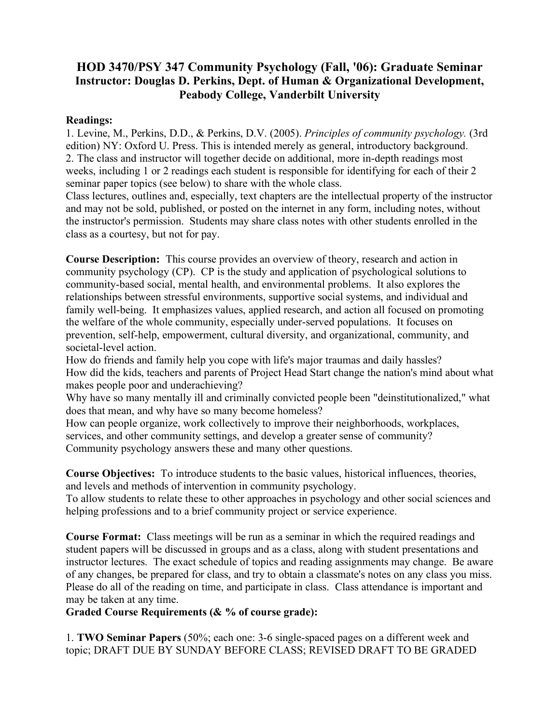## **HOD 3470/PSY 347 Community Psychology (Fall, '06): Graduate Seminar Instructor: Douglas D. Perkins, Dept. of Human & Organizational Development, Peabody College, Vanderbilt University**

#### **Readings:**

1. Levine, M., Perkins, D.D., & Perkins, D.V. (2005). *Principles of community psychology.* (3rd edition) NY: Oxford U. Press. This is intended merely as general, introductory background. 2. The class and instructor will together decide on additional, more in-depth readings most weeks, including 1 or 2 readings each student is responsible for identifying for each of their 2 seminar paper topics (see below) to share with the whole class.

Class lectures, outlines and, especially, text chapters are the intellectual property of the instructor and may not be sold, published, or posted on the internet in any form, including notes, without the instructor's permission. Students may share class notes with other students enrolled in the class as a courtesy, but not for pay.

**Course Description:** This course provides an overview of theory, research and action in community psychology (CP). CP is the study and application of psychological solutions to community-based social, mental health, and environmental problems. It also explores the relationships between stressful environments, supportive social systems, and individual and family well-being. It emphasizes values, applied research, and action all focused on promoting the welfare of the whole community, especially under-served populations. It focuses on prevention, self-help, empowerment, cultural diversity, and organizational, community, and societal-level action.

How do friends and family help you cope with life's major traumas and daily hassles? How did the kids, teachers and parents of Project Head Start change the nation's mind about what makes people poor and underachieving?

Why have so many mentally ill and criminally convicted people been "deinstitutionalized," what does that mean, and why have so many become homeless?

How can people organize, work collectively to improve their neighborhoods, workplaces, services, and other community settings, and develop a greater sense of community? Community psychology answers these and many other questions.

**Course Objectives:** To introduce students to the basic values, historical influences, theories, and levels and methods of intervention in community psychology.

To allow students to relate these to other approaches in psychology and other social sciences and helping professions and to a brief community project or service experience.

**Course Format:** Class meetings will be run as a seminar in which the required readings and student papers will be discussed in groups and as a class, along with student presentations and instructor lectures. The exact schedule of topics and reading assignments may change. Be aware of any changes, be prepared for class, and try to obtain a classmate's notes on any class you miss. Please do all of the reading on time, and participate in class. Class attendance is important and may be taken at any time.

#### **Graded Course Requirements (& % of course grade):**

1. **TWO Seminar Papers** (50%; each one: 3-6 single-spaced pages on a different week and topic; DRAFT DUE BY SUNDAY BEFORE CLASS; REVISED DRAFT TO BE GRADED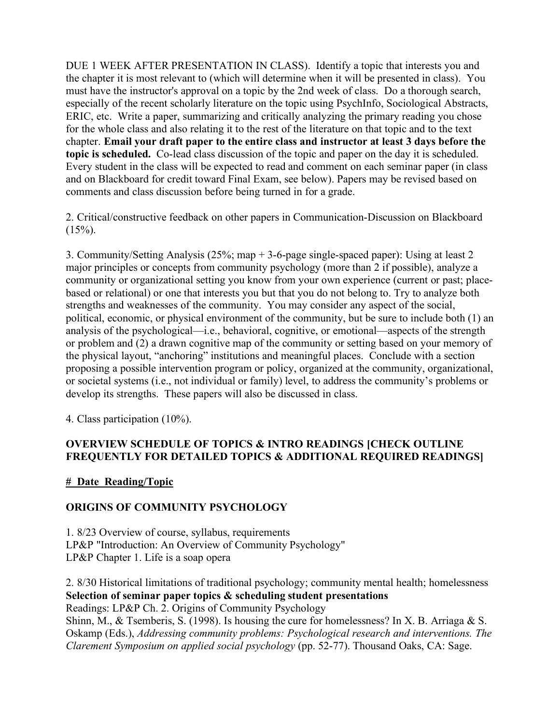DUE 1 WEEK AFTER PRESENTATION IN CLASS). Identify a topic that interests you and the chapter it is most relevant to (which will determine when it will be presented in class). You must have the instructor's approval on a topic by the 2nd week of class. Do a thorough search, especially of the recent scholarly literature on the topic using PsychInfo, Sociological Abstracts, ERIC, etc. Write a paper, summarizing and critically analyzing the primary reading you chose for the whole class and also relating it to the rest of the literature on that topic and to the text chapter. **Email your draft paper to the entire class and instructor at least 3 days before the topic is scheduled.** Co-lead class discussion of the topic and paper on the day it is scheduled. Every student in the class will be expected to read and comment on each seminar paper (in class and on Blackboard for credit toward Final Exam, see below). Papers may be revised based on comments and class discussion before being turned in for a grade.

2. Critical/constructive feedback on other papers in Communication-Discussion on Blackboard  $(15\%)$ .

3. Community/Setting Analysis (25%; map + 3-6-page single-spaced paper): Using at least 2 major principles or concepts from community psychology (more than 2 if possible), analyze a community or organizational setting you know from your own experience (current or past; placebased or relational) or one that interests you but that you do not belong to. Try to analyze both strengths and weaknesses of the community. You may consider any aspect of the social, political, economic, or physical environment of the community, but be sure to include both (1) an analysis of the psychological—i.e., behavioral, cognitive, or emotional—aspects of the strength or problem and (2) a drawn cognitive map of the community or setting based on your memory of the physical layout, "anchoring" institutions and meaningful places. Conclude with a section proposing a possible intervention program or policy, organized at the community, organizational, or societal systems (i.e., not individual or family) level, to address the community's problems or develop its strengths. These papers will also be discussed in class.

4. Class participation (10%).

#### **OVERVIEW SCHEDULE OF TOPICS & INTRO READINGS [CHECK OUTLINE FREQUENTLY FOR DETAILED TOPICS & ADDITIONAL REQUIRED READINGS]**

## **# Date Reading/Topic**

## **ORIGINS OF COMMUNITY PSYCHOLOGY**

1. 8/23 Overview of course, syllabus, requirements LP&P "Introduction: An Overview of Community Psychology" LP&P Chapter 1. Life is a soap opera

2. 8/30 Historical limitations of traditional psychology; community mental health; homelessness **Selection of seminar paper topics & scheduling student presentations** Readings: LP&P Ch. 2. Origins of Community Psychology

Shinn, M., & Tsemberis, S. (1998). Is housing the cure for homelessness? In X. B. Arriaga & S. Oskamp (Eds.), *Addressing community problems: Psychological research and interventions. The Clarement Symposium on applied social psychology* (pp. 52-77). Thousand Oaks, CA: Sage.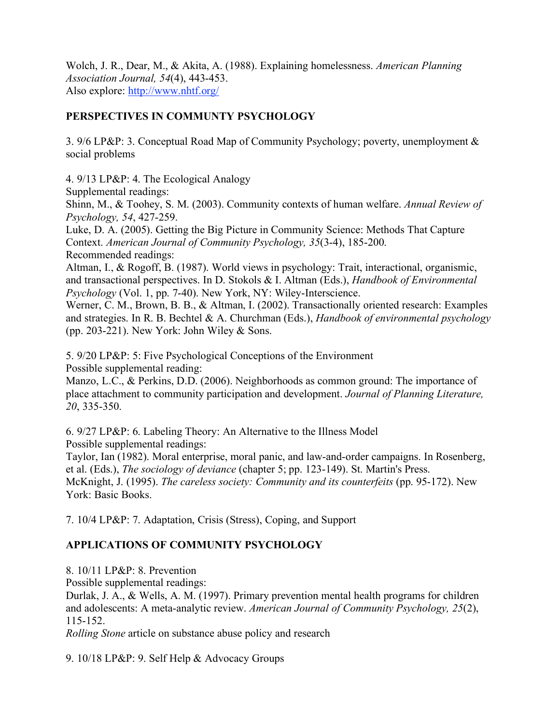Wolch, J. R., Dear, M., & Akita, A. (1988). Explaining homelessness. *American Planning Association Journal, 54*(4), 443-453. Also explore: http://www.nhtf.org/

## **PERSPECTIVES IN COMMUNTY PSYCHOLOGY**

3. 9/6 LP&P: 3. Conceptual Road Map of Community Psychology; poverty, unemployment & social problems

4. 9/13 LP&P: 4. The Ecological Analogy

Supplemental readings:

Shinn, M., & Toohey, S. M. (2003). Community contexts of human welfare. *Annual Review of Psychology, 54*, 427-259.

Luke, D. A. (2005). Getting the Big Picture in Community Science: Methods That Capture Context. *American Journal of Community Psychology, 35*(3-4), 185-200. Recommended readings:

Altman, I., & Rogoff, B. (1987). World views in psychology: Trait, interactional, organismic, and transactional perspectives. In D. Stokols & I. Altman (Eds.), *Handbook of Environmental Psychology* (Vol. 1, pp. 7-40). New York, NY: Wiley-Interscience.

Werner, C. M., Brown, B. B., & Altman, I. (2002). Transactionally oriented research: Examples and strategies. In R. B. Bechtel & A. Churchman (Eds.), *Handbook of environmental psychology* (pp. 203-221). New York: John Wiley  $&$  Sons.

5. 9/20 LP&P: 5: Five Psychological Conceptions of the Environment Possible supplemental reading:

Manzo, L.C., & Perkins, D.D. (2006). Neighborhoods as common ground: The importance of place attachment to community participation and development. *Journal of Planning Literature, 20*, 335-350.

6. 9/27 LP&P: 6. Labeling Theory: An Alternative to the Illness Model Possible supplemental readings:

Taylor, Ian (1982). Moral enterprise, moral panic, and law-and-order campaigns. In Rosenberg, et al. (Eds.), *The sociology of deviance* (chapter 5; pp. 123-149). St. Martin's Press. McKnight, J. (1995). *The careless society: Community and its counterfeits* (pp. 95-172). New York: Basic Books.

7. 10/4 LP&P: 7. Adaptation, Crisis (Stress), Coping, and Support

# **APPLICATIONS OF COMMUNITY PSYCHOLOGY**

8. 10/11 LP&P: 8. Prevention

Possible supplemental readings:

Durlak, J. A., & Wells, A. M. (1997). Primary prevention mental health programs for children and adolescents: A meta-analytic review. *American Journal of Community Psychology, 25*(2), 115-152.

*Rolling Stone* article on substance abuse policy and research

9. 10/18 LP&P: 9. Self Help & Advocacy Groups